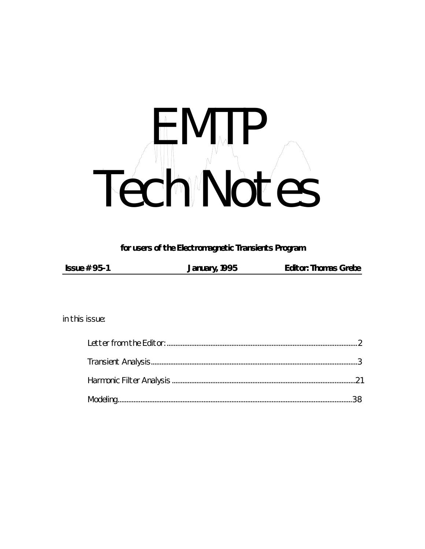# Tech NOTES

#### for users of the Electromagnetic Transients Program

| Issue $# 95-1$ | January, 1995 | <b>Editor: Thomas Grebe</b> |
|----------------|---------------|-----------------------------|
|                |               |                             |

in this issue: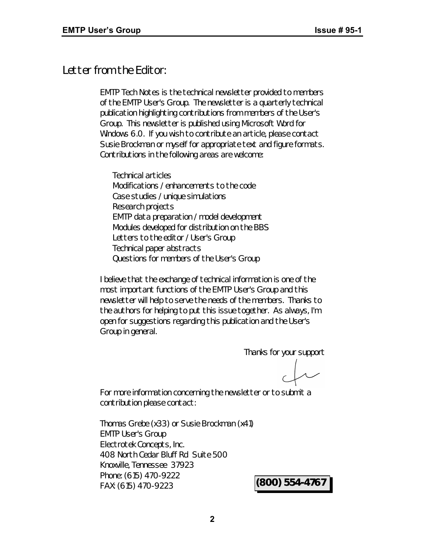## *Letter from the Editor:*

*EMTP Tech Notes* is the technical newsletter provided to members of the EMTP User's Group. The newsletter is a quarterly technical publication highlighting contributions from members of the User's Group. This newsletter is published using Microsoft Word for Windows 6.0. If you wish to contribute an article, please contact Susie Brockman or myself for appropriate text and figure formats. Contributions in the following areas are welcome:

Technical articles Modifications / enhancements to the code Case studies / unique simulations Research projects EMTP data preparation / model development Modules developed for distribution on the BBS Letters to the editor / User's Group Technical paper abstracts Questions for members of the User's Group

I believe that the exchange of technical information is one of the most important functions of the EMTP User's Group and this newsletter will help to serve the needs of the members. Thanks to the authors for helping to put this issue together. As always, I'm open for suggestions regarding this publication and the User's Group in general.

Thanks for your support

For more information concerning the newsletter or to submit a contribution please contact:

Thomas Grebe (x33) or Susie Brockman (x41) EMTP User's Group Electrotek Concepts, Inc. 408 North Cedar Bluff Rd Suite 500 Knoxville, Tennessee 37923 Phone: (615) 470-9222 FAX: (615) 470-9223 **(800) 554-4767**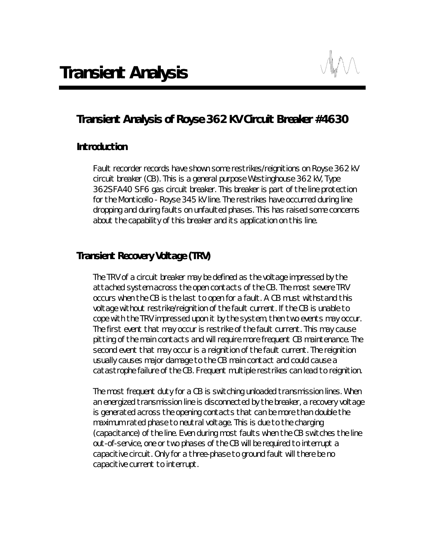

# *Transient Analysis of Royse 362 KV Circuit Breaker #4630*

#### *Introduction*

Fault recorder records have shown some restrikes/reignitions on Royse 362 kV circuit breaker (CB). This is a general purpose Westinghouse 362 kV, Type 362SFA40 SF6 gas circuit breaker. This breaker is part of the line protection for the Monticello - Royse 345 kV line. The restrikes have occurred during line dropping and during faults on unfaulted phases. This has raised some concerns about the capability of this breaker and its application on this line.

#### *Transient Recovery Voltage (TRV)*

The TRV of a circuit breaker may be defined as the voltage impressed by the attached system across the open contacts of the CB. The most severe TRV occurs when the CB is the last to open for a fault. A CB must withstand this voltage without restrike/reignition of the fault current. If the CB is unable to cope with the TRV impressed upon it by the system, then two events may occur. The first event that may occur is restrike of the fault current. This may cause pitting of the main contacts and will require more frequent CB maintenance. The second event that may occur is a reignition of the fault current. The reignition usually causes major damage to the CB main contact and could cause a catastrophe failure of the CB. Frequent multiple restrikes can lead to reignition.

The most frequent duty for a CB is switching unloaded transmission lines. When an energized transmission line is disconnected by the breaker, a recovery voltage is generated across the opening contacts that can be more than double the maximum rated phase to neutral voltage. This is due to the charging (capacitance) of the line. Even during most faults when the CB switches the line out-of-service, one or two phases of the CB will be required to interrupt a capacitive circuit. Only for a three-phase to ground fault will there be no capacitive current to interrupt.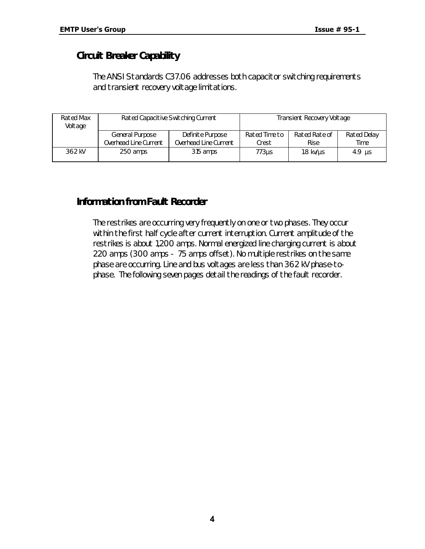## *Circuit Breaker Capability*

The ANSI Standards C37.06 addresses both capacitor switching requirements and transient recovery voltage limitations.

| Rated Max<br>Voltage | Rated Capacitive Switching Current       |                                           | Transient Recovery Voltage |                              |                     |
|----------------------|------------------------------------------|-------------------------------------------|----------------------------|------------------------------|---------------------|
|                      | General Purpose<br>Overhead Line Current | Definite Purpose<br>Overhead Line Current | Rated Time to<br>Crest     | Rated Rate of<br><b>Rise</b> | Rated Delay<br>Time |
| 362 kV               | 250 amps                                 | 315 amps                                  | 773us                      | $1.8$ kv/ $\mu$ s            | $4.9$ us            |

## *Information from Fault Recorder*

The restrikes are occurring very frequently on one or two phases. They occur within the first half cycle after current interruption. Current amplitude of the restrikes is about 1,200 amps. Normal energized line charging current is about 220 amps (300 amps - 75 amps offset). No multiple restrikes on the same phase are occurring. Line and bus voltages are less than 362 kV phase-tophase. The following seven pages detail the readings of the fault recorder.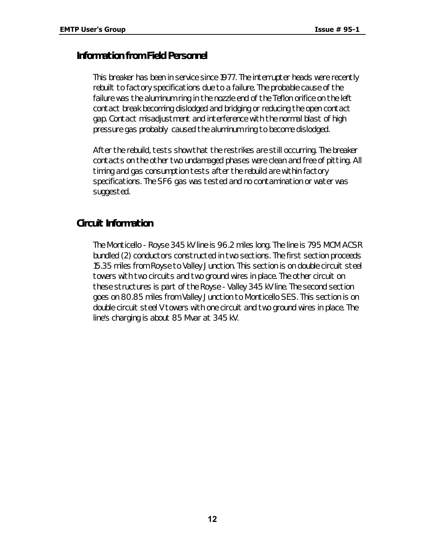#### *Information from Field Personnel*

This breaker has been in service since 1977. The interrupter heads were recently rebuilt to factory specifications due to a failure. The probable cause of the failure was the aluminum ring in the nozzle end of the Teflon orifice on the left contact break becoming dislodged and bridging or reducing the open contact gap. Contact misadjustment and interference with the normal blast of high pressure gas probably caused the aluminum ring to become dislodged.

After the rebuild, tests show that the restrikes are still occurring. The breaker contacts on the other two undamaged phases were clean and free of pitting. All timing and gas consumption tests after the rebuild are within factory specifications. The SF6 gas was tested and no contamination or water was suggested.

#### *Circuit Information*

The Monticello - Royse 345 kV line is 96.2 miles long. The line is 795 MCM ACSR bundled (2) conductors constructed in two sections. The first section proceeds 15.35 miles from Royse to Valley Junction. This section is on double circuit steel towers with two circuits and two ground wires in place. The other circuit on these structures is part of the Royse - Valley 345 kV line. The second section goes on 80.85 miles from Valley Junction to Monticello SES. This section is on double circuit steel V towers with one circuit and two ground wires in place. The line's charging is about 85 Mvar at 345 kV.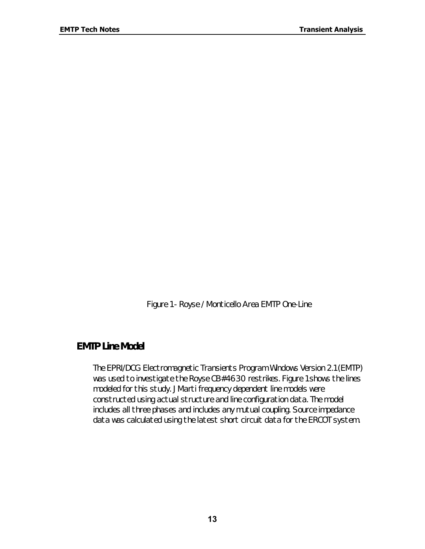*Figure 1 - Royse / Monticello Area EMTP One-Line*

#### *EMTP Line Model*

The EPRI/DCG Electromagnetic Transients Program Windows Version 2.1 (EMTP) was used to investigate the Royse CB#4630 restrikes. Figure 1 shows the lines modeled for this study. JMarti frequency dependent line models were constructed using actual structure and line configuration data. The model includes all three phases and includes any mutual coupling. Source impedance data was calculated using the latest short circuit data for the ERCOT system.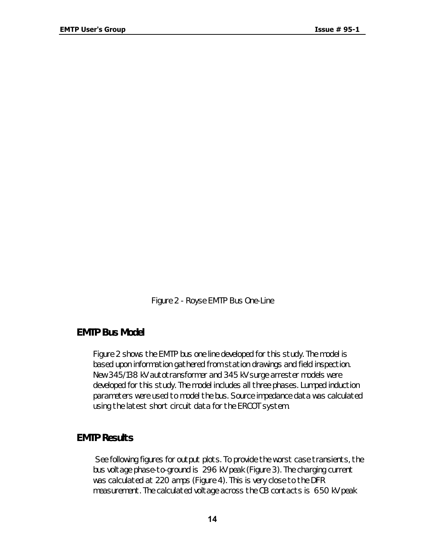*Figure 2 - Royse EMTP Bus One-Line*

#### *EMTP Bus Model*

Figure 2 shows the EMTP bus one line developed for this study. The model is based upon information gathered from station drawings and field inspection. New 345/138 kV autotransformer and 345 kV surge arrester models were developed for this study. The model includes all three phases. Lumped induction parameters were used to model the bus. Source impedance data was calculated using the latest short circuit data for the ERCOT system.

## *EMTP Results*

 See following figures for output plots. To provide the worst case transients, the bus voltage phase-to-ground is 296 kV peak (Figure 3). The charging current was calculated at 220 amps (Figure 4). This is very close to the DFR measurement. The calculated voltage across the CB contacts is 650 kV peak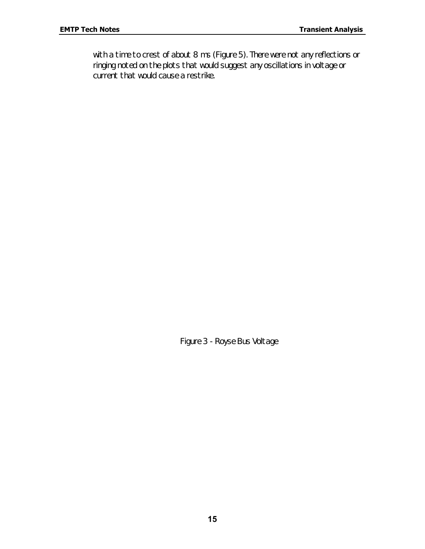with a time to crest of about 8 ms (Figure 5). There were not any reflections or ringing noted on the plots that would suggest any oscillations in voltage or current that would cause a restrike.

*Figure 3 - Royse Bus Voltage*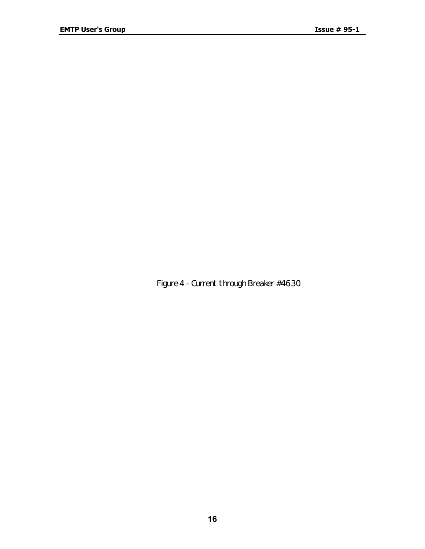*Figure 4 - Current through Breaker #4630*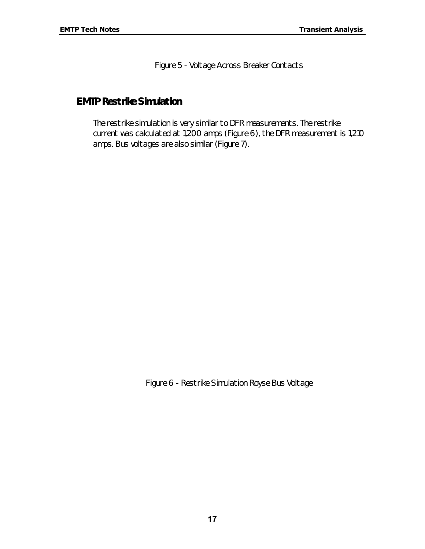*Figure 5 - Voltage Across Breaker Contacts*

### *EMTP Restrike Simulation*

The restrike simulation is very similar to DFR measurements. The restrike current was calculated at 1,200 amps (Figure 6), the DFR measurement is 1,210 amps. Bus voltages are also similar (Figure 7).

*Figure 6 - Restrike Simulation Royse Bus Voltage*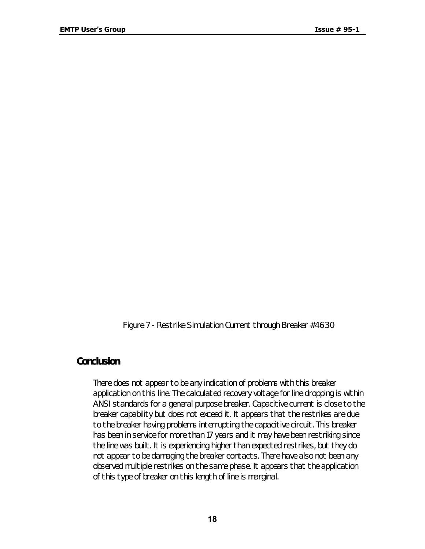*Figure 7 - Restrike Simulation Current through Breaker #4630*

#### *Conclusion*

There does not appear to be any indication of problems with this breaker application on this line. The calculated recovery voltage for line dropping is within ANSI standards for a general purpose breaker. Capacitive current is close to the breaker capability but does not exceed it. It appears that the restrikes are due to the breaker having problems interrupting the capacitive circuit. This breaker has been in service for more than 17 years and it may have been restriking since the line was built. It is experiencing higher than expected restrikes, but they do not appear to be damaging the breaker contacts. There have also not been any observed multiple restrikes on the same phase. It appears that the application of this type of breaker on this length of line is marginal.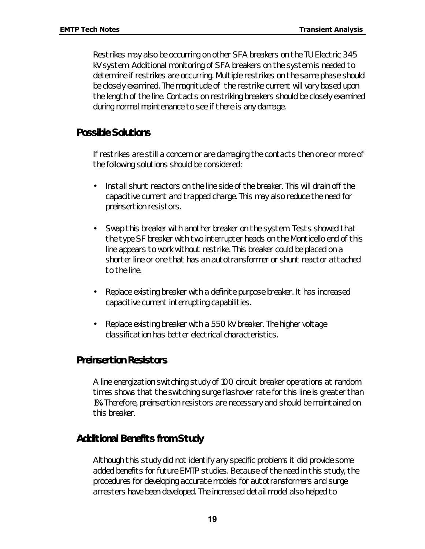Restrikes may also be occurring on other SFA breakers on the TU Electric 345 kV system. Additional monitoring of SFA breakers on the system is needed to determine if restrikes are occurring. Multiple restrikes on the same phase should be closely examined. The magnitude of the restrike current will vary based upon the length of the line. Contacts on restriking breakers should be closely examined during normal maintenance to see if there is any damage.

#### *Possible Solutions*

If restrikes are still a concern or are damaging the contacts then one or more of the following solutions should be considered:

- Install shunt reactors on the line side of the breaker. This will drain off the capacitive current and trapped charge. This may also reduce the need for preinsertion resistors.
- Swap this breaker with another breaker on the system. Tests showed that the type SF breaker with two interrupter heads on the Monticello end of this line appears to work without restrike. This breaker could be placed on a shorter line or one that has an autotransformer or shunt reactor attached to the line.
- Replace existing breaker with a definite purpose breaker. It has increased capacitive current interrupting capabilities.
- Replace existing breaker with a 550 kV breaker. The higher voltage classification has better electrical characteristics.

#### *Preinsertion Resistors*

A line energization switching study of 100 circuit breaker operations at random times shows that the switching surge flashover rate for this line is greater than 1%. Therefore, preinsertion resistors are necessary and should be maintained on this breaker.

#### *Additional Benefits from Study*

Although this study did not identify any specific problems it did provide some added benefits for future EMTP studies. Because of the need in this study, the procedures for developing accurate models for autotransformers and surge arresters have been developed. The increased detail model also helped to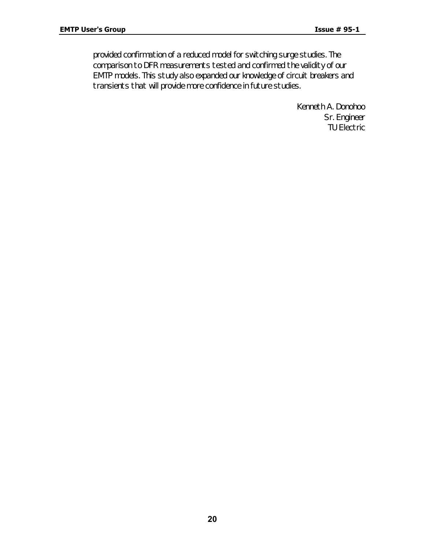provided confirmation of a reduced model for switching surge studies. The comparison to DFR measurements tested and confirmed the validity of our EMTP models. This study also expanded our knowledge of circuit breakers and transients that will provide more confidence in future studies.

> Kenneth A. Donohoo Sr. Engineer TU Electric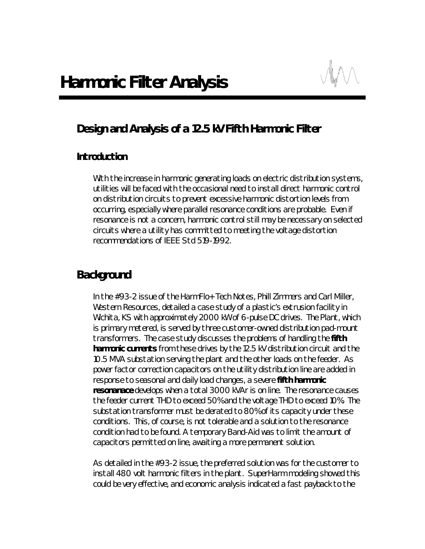# *Design and Analysis of a 12.5 kV Fifth Harmonic Filter*

#### *Introduction*

With the increase in harmonic generating loads on electric distribution systems, utilities will be faced with the occasional need to install direct harmonic control on distribution circuits to prevent excessive harmonic distortion levels from occurring, especially where parallel resonance conditions are probable. Even if resonance is not a concern, harmonic control still may be necessary on selected circuits where a utility has committed to meeting the voltage distortion recommendations of IEEE Std 519-1992.

## *Background*

In the #93-2 issue of the *HarmFlo+ Tech Notes*, Phill Zimmers and Carl Miller, Western Resources, detailed a case study of a plastic's extrusion facility in Wichita, KS with approximately 2000 kW of 6-pulse DC drives. The Plant, which is primary metered, is served by three customer-owned distribution pad-mount transformers. The case study discusses the problems of handling the **fifth harmonic currents** from these drives by the 12.5 kV distribution circuit and the 10.5 MVA substation serving the plant and the other loads on the feeder. As power factor correction capacitors on the utility distribution line are added in response to seasonal and daily load changes, a severe **fifth harmonic resonanace** develops when a total 3000 kVAr is on line. The resonance causes the feeder current THD to exceed 50% and the voltage THD to exceed 10%. The substation transformer must be derated to 80% of its capacity under these conditions. This, of course, is not tolerable and a solution to the resonance condition had to be found. A temporary Band-Aid was to limit the amount of capacitors permitted on line, awaiting a more permanent solution.

As detailed in the #93-2 issue, the preferred solution was for the customer to install 480 volt harmonic filters in the plant. SuperHarm modeling showed this could be very effective, and economic analysis indicated a fast payback to the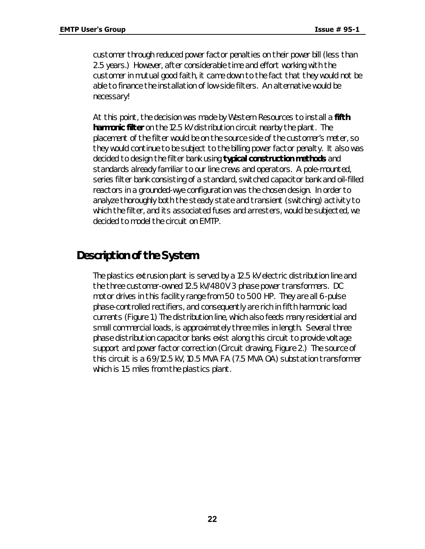customer through reduced power factor penalties on their power bill (less than 2.5 years.) However, after considerable time and effort working with the customer in *mutual* good faith, it came down to the fact that they would not be able to finance the installation of low-side filters. *An alternative would be necessary!*

At this point, the decision was made by Western Resources to install a **fifth harmonic filter** on the 12.5 kV distribution circuit nearby the plant. The placement of the filter would be on the source side of the customer's meter, so they would continue to be subject to the billing power factor penalty. It also was decided to design the filter bank using **typical construction methods** and standards already familiar to our line crews and operators. A pole-mounted, series filter bank consisting of a standard, switched capacitor bank and oil-filled reactors in a grounded-wye configuration was the chosen design. In order to analyze thoroughly both the steady state and transient (switching) activity to which the filter, and its associated fuses and arresters, would be subjected, we decided to model the circuit on EMTP.

# *Description of the System*

The plastics extrusion plant is served by a 12.5 kV electric distribution line and the three customer-owned 12.5 kV/480V 3 phase power transformers. DC motor drives in this facility range from 50 to 500 HP. They are all 6-pulse phase-controlled rectifiers, and consequently are rich in fifth harmonic load currents (Figure 1.) The distribution line, which also feeds many residential and small commercial loads, is approximately three miles in length. Several three phase distribution capacitor banks exist along this circuit to provide voltage support and power factor correction (Circuit drawing, Figure 2.) The source of this circuit is a 69/12.5 kV, 10.5 MVA FA (7.5 MVA OA) substation transformer which is 1.5 miles from the plastics plant.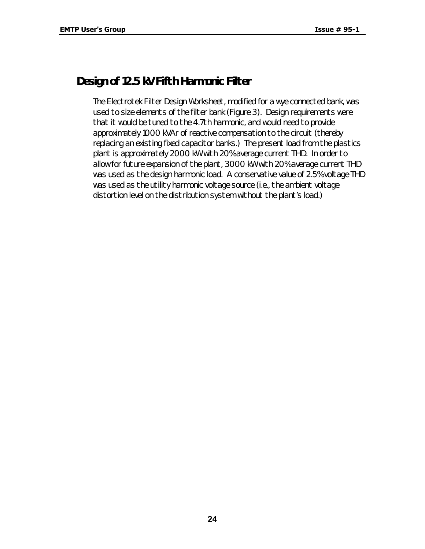# *Design of 12.5 kV Fifth Harmonic Filter*

The Electrotek Filter Design Worksheet, modified for a wye connected bank, was used to size elements of the filter bank (Figure 3). Design requirements were that it would be tuned to the 4.7th harmonic, and would need to provide approximately 1000 kVAr of reactive compensation to the circuit (thereby replacing an existing fixed capacitor banks.) The present load from the plastics plant is approximately 2000 kW with 20% average current THD. In order to allow for future expansion of the plant, 3000 kW with 20% average current THD was used as the design harmonic load. A conservative value of 2.5% voltage THD was used as the utility harmonic voltage source (i.e., the ambient voltage distortion level on the distribution system without the plant's load.)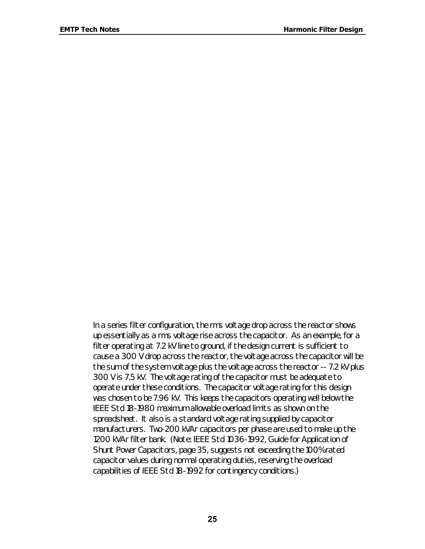In a series filter configuration, the *rms voltage drop* across the reactor shows up essentially as a *rms voltage rise* across the capacitor. As an example, for a filter operating at 7.2 kV line to ground, if the design current is sufficient to cause a 300 V drop across the reactor, the voltage across the capacitor will be the sum of the system voltage plus the voltage across the reactor -- 7.2 kV plus 300 V is 7.5 kV. The voltage rating of the capacitor must be adequate to operate under these conditions. The capacitor voltage rating for this design was chosen to be 7.96 kV. This keeps the capacitors operating well below the IEEE Std 18-1980 maximum allowable overload limits as shown on the spreadsheet. It also is a standard voltage rating supplied by capacitor manufacturers. Two-200 kVAr capacitors per phase are used to make up the 1200 kVAr filter bank. (Note: IEEE Std 1036-1992, *Guide for Application of Shunt Power Capacitors*, page 35, suggests not exceeding the 100% rated capacitor values during normal operating duties, reserving the overload capabilities of IEEE Std 18-1992 for contingency conditions.)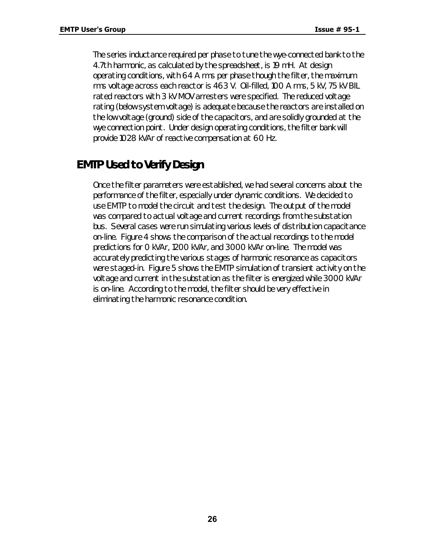The series inductance required per phase to tune the wye-connected bank to the 4.7th harmonic, as calculated by the spreadsheet, is 19 mH. At design operating conditions, with 64 A rms per phase though the filter, the maximum rms voltage across each reactor is 463 V. Oil-filled, 100 A rms, 5 kV, 75 kV BIL rated reactors with 3 kV MOV arresters were specified. The reduced voltage rating (below system voltage) is adequate because the reactors are installed on the low voltage (ground) side of the capacitors, and are solidly grounded at the wye connection point. Under design operating conditions, the filter bank will provide 1028 kVAr of reactive compensation at 60 Hz.

# *EMTP Used to Verify Design*

Once the filter parameters were established, we had several concerns about the performance of the filter, especially under dynamic conditions. We decided to use EMTP to model the circuit and test the design. The output of the model was compared to actual voltage and current recordings from the substation bus. Several cases were run simulating various levels of distribution capacitance on-line. Figure 4 shows the comparison of the actual recordings to the model predictions for 0 kVAr, 1200 kVAr, and 3000 kVAr on-line. The model was accurately predicting the various stages of harmonic resonance as capacitors were staged-in. Figure 5 shows the EMTP simulation of transient activity on the voltage and current in the substation as the filter is energized while 3000 kVAr is on-line. According to the model, the filter should be very effective in eliminating the harmonic resonance condition.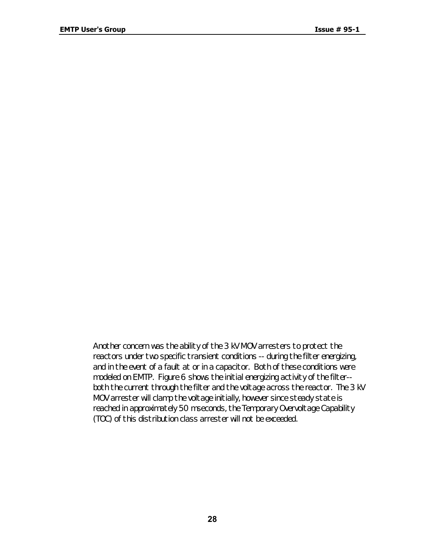Another concern was the ability of the 3 kV MOV arresters to protect the reactors under two specific transient conditions -- during the filter energizing, and in the event of a fault at or in a capacitor. Both of these conditions were modeled on EMTP. Figure 6 shows the initial energizing activity of the filter- both the current through the filter and the voltage across the reactor. The 3 kV MOV arrester will clamp the voltage initially, however since steady state is reached in approximately 50 mseconds, the Temporary Overvoltage Capability (TOC) of this distribution class arrester will not be exceeded.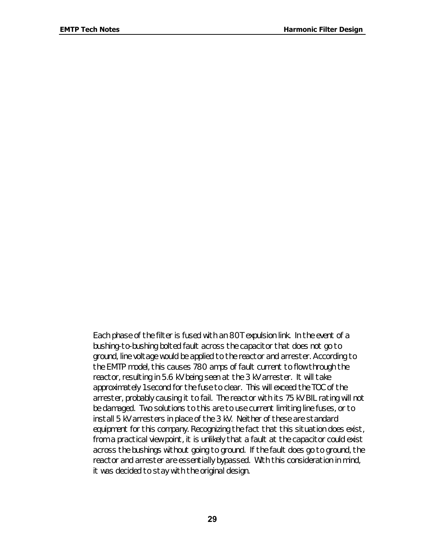Each phase of the filter is fused with an 80T expulsion link. In the event of a bushing-to-bushing bolted fault across the capacitor that does not go to ground, line voltage would be applied to the reactor and arrester. According to the EMTP model, this causes 780 amps of fault current to flow through the reactor, resulting in 5.6 kV being seen at the 3 kV arrester. It will take approximately 1 second for the fuse to clear. This will exceed the TOC of the arrester, probably causing it to fail. The reactor with its 75 kV BIL rating will not be damaged. Two solutions to this are to use current limiting line fuses, or to install 5 kV arresters in place of the 3 kV. Neither of these are standard equipment for this company. Recognizing the fact that this situation does exist, from a practical view point, it is unlikely that a fault at the capacitor could exist across the bushings without going to ground. If the fault does go to ground, the reactor and arrester are essentially bypassed. With this consideration in mind, it was decided to stay with the original design.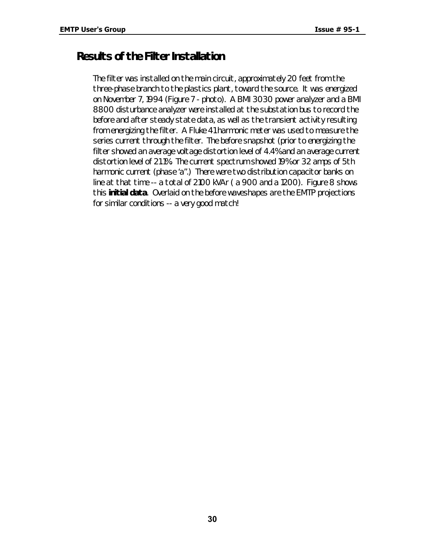# *Results of the Filter Installation*

The filter was installed on the main circuit, approximately 20 feet from the three-phase branch to the plastics plant, toward the source. It was energized on November 7, 1994 (Figure 7 - photo). A BMI 3030 power analyzer and a BMI 8800 disturbance analyzer were installed at the substation bus to record the before and after steady state data, as well as the transient activity resulting from energizing the filter. A Fluke 41 harmonic meter was used to measure the series current through the filter. The before snapshot (prior to energizing the filter showed an average voltage distortion level of 4.4% and an average current distortion level of 21.1%. The current spectrum showed 19% or 32 amps of 5th harmonic current (phase 'a".) There were two distribution capacitor banks on line at that time -- a total of 2100 kVAr ( a 900 and a 1200). Figure 8 shows this **initial data**. Overlaid on the before waveshapes are the EMTP projections for similar conditions -- a very good match!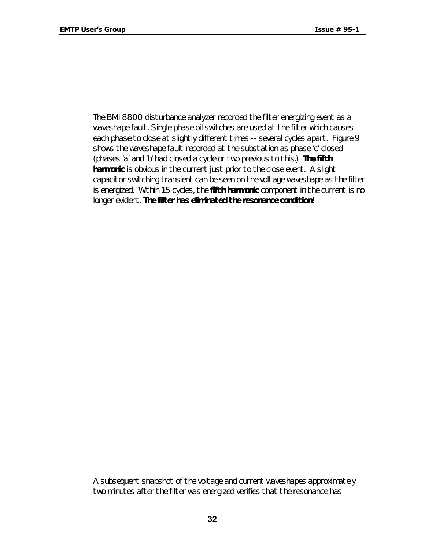The BMI 8800 disturbance analyzer recorded the filter energizing event as a waveshape fault. Single phase oil switches are used at the filter which causes each phase to close at slightly different times -- several cycles apart. Figure 9 shows the waveshape fault recorded at the substation as phase 'c' closed (phases 'a' and 'b' had closed a cycle or two previous to this.) **The fifth harmonic** is obvious in the current just prior to the close event. A slight capacitor switching transient can be seen on the voltage waveshape as the filter is energized. Within 1.5 cycles, the **fifth harmonic** component in the current is no longer evident. *The filter has eliminated the resonance condition!*

A subsequent snapshot of the voltage and current waveshapes approximately two minutes after the filter was energized verifies that the resonance has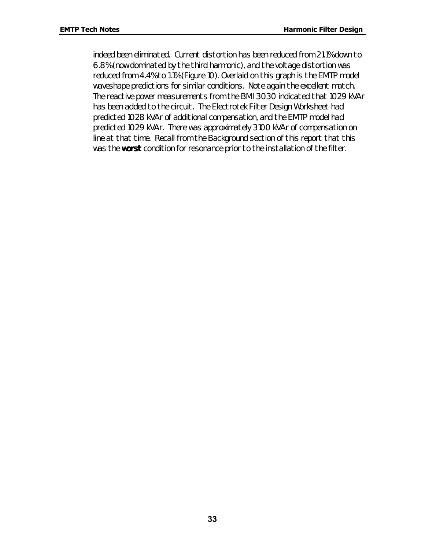indeed been eliminated. Current distortion has been reduced from 21.1% down to 6.8% (now dominated by the third harmonic), and the voltage distortion was reduced from 4.4% to 1.1% (Figure 10). Overlaid on this graph is the EMTP model waveshape predictions for similar conditions. Note again the excellent match. The reactive power measurements from the BMI 3030 indicated that 1029 kVAr has been added to the circuit. The Electrotek Filter Design Worksheet had predicted 1028 kVAr of additional compensation, and the EMTP model had predicted 1029 kVAr. There was approximately 3100 kVAr of compensation on line at that time. Recall from the *Background* section of this report that this was the **worst** condition for resonance prior to the installation of the filter.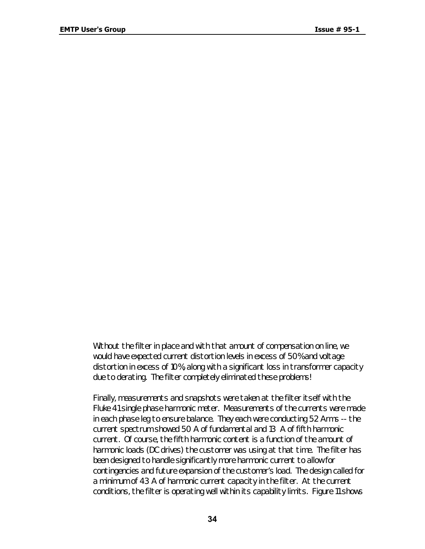Without the filter in place and with that amount of compensation on line, we would have expected current distortion levels in excess of 50% and voltage distortion in excess of 10%, along with a significant loss in transformer capacity due to derating. The filter completely eliminated these problems!

Finally, measurements and snapshots were taken at the filter itself with the Fluke 41 single phase harmonic meter. Measurements of the currents were made in each phase leg to ensure balance. They each were conducting 52 Arms -- the current spectrum showed 50 A of fundamental and 13 A of fifth harmonic current. Of course, the fifth harmonic content is a function of the amount of harmonic loads (DC drives) the customer was using at that time. The filter has been designed to handle significantly more harmonic current to allow for contingencies and future expansion of the customer's load. The design called for a minimum of 43 A of harmonic current capacity in the filter. At the current conditions, the filter is operating well within its capability limits. Figure 11 shows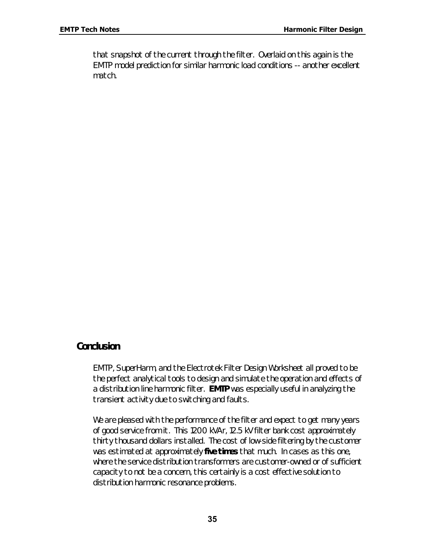that snapshot of the current through the filter. Overlaid on this again is the EMTP model prediction for similar harmonic load conditions -- another excellent match.

#### *Conclusion*

EMTP, SuperHarm, and the Electrotek Filter Design Worksheet all proved to be the perfect analytical tools to design and simulate the operation and effects of a distribution line harmonic filter. **EMTP** was especially useful in analyzing the transient activity due to switching and faults.

We are pleased with the performance of the filter and expect to get many years of good service from it. This 1200 kVAr, 12.5 kV filter bank cost approximately thirty thousand dollars installed. The cost of low-side filtering by the customer was estimated at approximately **five times** that much. In cases as this one, where the service distribution transformers are customer-owned or of sufficient capacity to not be a concern, this certainly is a cost effective solution to distribution harmonic resonance problems.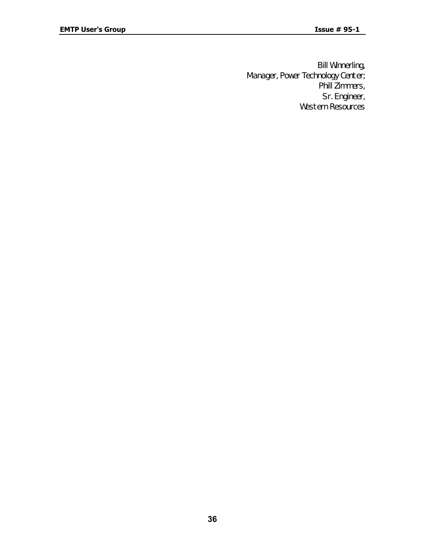Bill Winnerling, Manager, Power Technology Center; Phill Zimmers, Sr. Engineer, Western Resources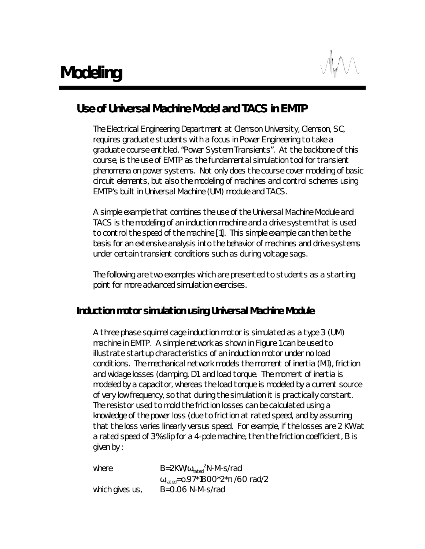# *Use of Universal Machine Model and TACS in EMTP*

The Electrical Engineering Department at Clemson University, Clemson, SC, requires graduate students with a focus in Power Engineering to take a graduate course entitled. "Power System Transients". At the backbone of this course, is the use of EMTP as the fundamental simulation tool for transient phenomena on power systems. Not only does the course cover modeling of basic circuit elements, but also the modeling of machines and control schemes using EMTP's built in Universal Machine (UM) module and TACS.

A simple example that combines the use of the Universal Machine Module and TACS is the modeling of an induction machine and a drive system that is used to control the speed of the machine [1]. This simple example can then be the basis for an extensive analysis into the behavior of machines and drive systems under certain transient conditions such as during voltage sags.

The following are two examples which are presented to students as a starting point for more advanced simulation exercises.

#### *Induction motor simulation using Universal Machine Module*

A three phase squirrel cage induction motor is simulated as a type 3 (UM) machine in EMTP. A simple network as shown in Figure 1 can be used to illustrate startup characteristics of an induction motor under no load conditions. The mechanical network models the moment of inertia (M1), friction and widage losses (damping, D1. and load torque. The moment of inertia is modeled by a capacitor, whereas the load torque is modeled by a current source of very low frequency, so that during the simulation it is practically constant. The resistor used to mold the friction losses can be calculated using a knowledge of the power loss (due to friction at rated speed, and by assuming that the loss varies linearly versus speed. For example, if the losses are 2 KW at a rated speed of 3% slip for a 4-pole machine, then the friction coefficient, B is given by :

| where           | $B=2KW/\omega_{\text{rated}}^2N-M-s/rad$            |
|-----------------|-----------------------------------------------------|
|                 | $\omega_{\text{rad}}$ =0.97*1800*2* $\pi$ /60 rad/2 |
| which gives us, | $B = 0.06$ N-M-s/rad                                |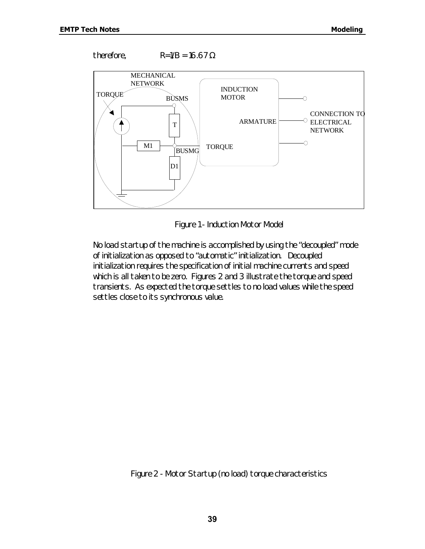therefore,  $R=1/B = 16.67 \Omega$ 



*Figure 1 - Induction Motor Model*

No load startup of the machine is accomplished by using the "decoupled" mode of initialization as opposed to "automatic" initialization. Decoupled initialization requires the specification of initial machine currents and speed which is all taken to be zero. Figures 2 and 3 illustrate the torque and speed transients. As expected the torque settles to no load values while the speed settles close to its synchronous value.

*Figure 2 - Motor Startup (no load) torque characteristics*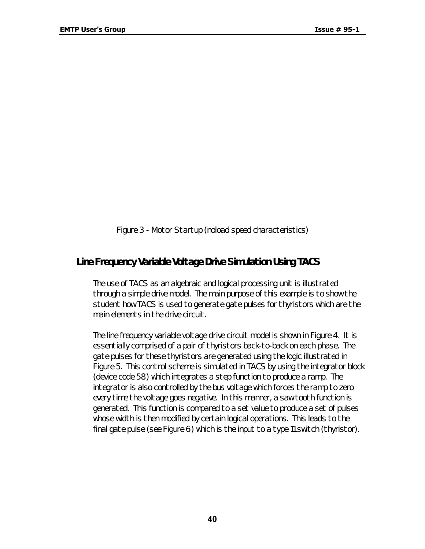*Figure 3 - Motor Startup (noload speed characteristics)*

#### *Line Frequency Variable Voltage Drive Simulation Using TACS*

The use of TACS as an algebraic and logical processing unit is illustrated through a simple drive model. The main purpose of this example is to show the student how TACS is used to generate gate pulses for thyristors which are the main elements in the drive circuit.

The line frequency variable voltage drive circuit model is shown in Figure 4. It is essentially comprised of a pair of thyristors back-to-back on each phase. The gate pulses for these thyristors are generated using the logic illustrated in Figure 5. This control scheme is simulated in TACS by using the integrator block (device code 58) which integrates a step function to produce a ramp. The integrator is also controlled by the bus voltage which forces the ramp to zero every time the voltage goes negative. In this manner, a saw tooth function is generated. This function is compared to a set value to produce a set of pulses whose width is then modified by certain logical operations. This leads to the final gate pulse (see Figure 6) which is the input to a type 11 switch (thyristor).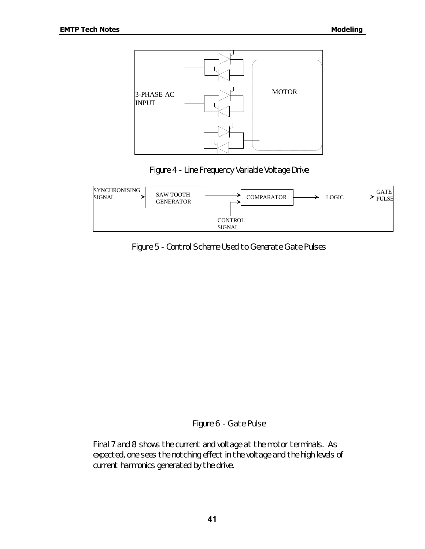





*Figure 5 - Control Scheme Used to Generate Gate Pulses*

*Figure 6 - Gate Pulse*

Final 7 and 8 shows the current and voltage at the motor terminals. As expected, one sees the notching effect in the voltage and the high levels of current harmonics generated by the drive.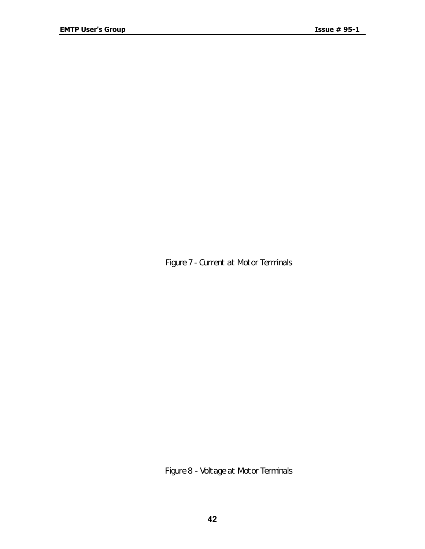*Figure 7 - Current at Motor Terminals*

*Figure 8 - Voltage at Motor Terminals*